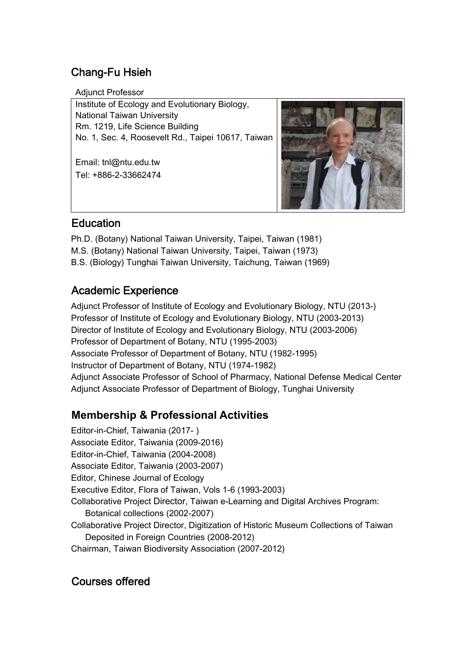# Chang-Fu Hsieh

Adjunct Professor

Institute of Ecology and Evolutionary Biology, National Taiwan University Rm. 1219, Life Science Building No. 1, Sec. 4, Roosevelt Rd., Taipei 10617, Taiwan

Email: tnl@ntu.edu.tw Tel: +886-2-33662474



### Education

Ph.D. (Botany) National Taiwan University, Taipei, Taiwan (1981) M.S. (Botany) National Taiwan University, Taipei, Taiwan (1973) B.S. (Biology) Tunghai Taiwan University, Taichung, Taiwan (1969)

# Academic Experience

Adjunct Professor of Institute of Ecology and Evolutionary Biology, NTU (2013-) Professor of Institute of Ecology and Evolutionary Biology, NTU (2003-2013) Director of Institute of Ecology and Evolutionary Biology, NTU (2003-2006) Professor of Department of Botany, NTU (1995-2003) Associate Professor of Department of Botany, NTU (1982-1995) Instructor of Department of Botany, NTU (1974-1982) Adjunct Associate Professor of School of Pharmacy, National Defense Medical Center Adjunct Associate Professor of Department of Biology, Tunghai University

## **Membership & Professional Activities**

Editor-in-Chief, Taiwania (2017- ) Associate Editor, Taiwania (2009-2016) Editor-in-Chief, Taiwania (2004-2008) Associate Editor, Taiwania (2003-2007) Editor, Chinese Journal of Ecology Executive Editor, Flora of Taiwan, Vols 1-6 (1993-2003) Collaborative Project Director, Taiwan e-Learning and Digital Archives Program: Botanical collections (2002-2007) Collaborative Project Director, Digitization of Historic Museum Collections of Taiwan Deposited in Foreign Countries (2008-2012) Chairman, Taiwan Biodiversity Association (2007-2012)

## Courses offered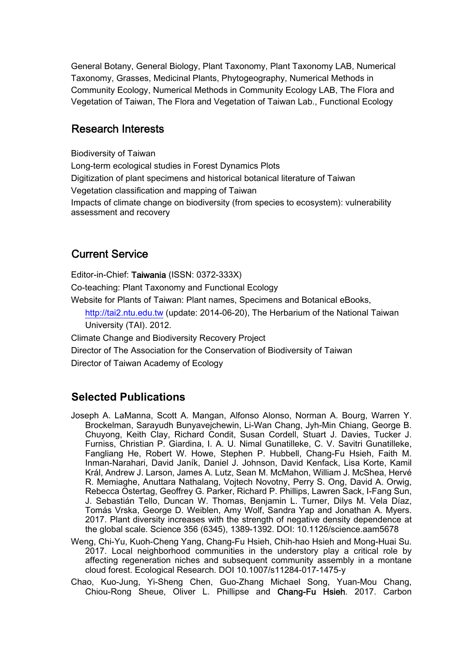General Botany, General Biology, Plant Taxonomy, Plant Taxonomy LAB, Numerical Taxonomy, Grasses, Medicinal Plants, Phytogeography, Numerical Methods in Community Ecology, Numerical Methods in Community Ecology LAB, The Flora and Vegetation of Taiwan, The Flora and Vegetation of Taiwan Lab., Functional Ecology

#### Research Interests

Biodiversity of Taiwan Long-term ecological studies in Forest Dynamics Plots Digitization of plant specimens and historical botanical literature of Taiwan Vegetation classification and mapping of Taiwan Impacts of climate change on biodiversity (from species to ecosystem): vulnerability assessment and recovery

#### Current Service

Editor-in-Chief: Taiwania (ISSN: 0372-333X) Co-teaching: Plant Taxonomy and Functional Ecology Website for Plants of Taiwan: Plant names, Specimens and Botanical eBooks, http://tai2.ntu.edu.tw (update: 2014-06-20), The Herbarium of the National Taiwan University (TAI). 2012. Climate Change and Biodiversity Recovery Project

Director of The Association for the Conservation of Biodiversity of Taiwan

Director of Taiwan Academy of Ecology

### **Selected Publications**

- Joseph A. LaManna, Scott A. Mangan, Alfonso Alonso, Norman A. Bourg, Warren Y. Brockelman, Sarayudh Bunyavejchewin, Li-Wan Chang, Jyh-Min Chiang, George B. Chuyong, Keith Clay, Richard Condit, Susan Cordell, Stuart J. Davies, Tucker J. Furniss, Christian P. Giardina, I. A. U. Nimal Gunatilleke, C. V. Savitri Gunatilleke, Fangliang He, Robert W. Howe, Stephen P. Hubbell, Chang-Fu Hsieh, Faith M. Inman-Narahari, David Janík, Daniel J. Johnson, David Kenfack, Lisa Korte, Kamil Král, Andrew J. Larson, James A. Lutz, Sean M. McMahon, William J. McShea, Hervé R. Memiaghe, Anuttara Nathalang, Vojtech Novotny, Perry S. Ong, David A. Orwig, Rebecca Ostertag, Geoffrey G. Parker, Richard P. Phillips, Lawren Sack, I-Fang Sun, J. Sebastián Tello, Duncan W. Thomas, Benjamin L. Turner, Dilys M. Vela Díaz, Tomás Vrska, George D. Weiblen, Amy Wolf, Sandra Yap and Jonathan A. Myers. 2017. Plant diversity increases with the strength of negative density dependence at the global scale. Science 356 (6345), 1389-1392. DOI: 10.1126/science.aam5678
- Weng, Chi-Yu, Kuoh-Cheng Yang, Chang-Fu Hsieh, Chih-hao Hsieh and Mong-Huai Su. 2017. Local neighborhood communities in the understory play a critical role by affecting regeneration niches and subsequent community assembly in a montane cloud forest. Ecological Research. DOI 10.1007/s11284-017-1475-y
- Chao, Kuo-Jung, Yi-Sheng Chen, Guo-Zhang Michael Song, Yuan-Mou Chang, Chiou-Rong Sheue, Oliver L. Phillipse and Chang-Fu Hsieh. 2017. Carbon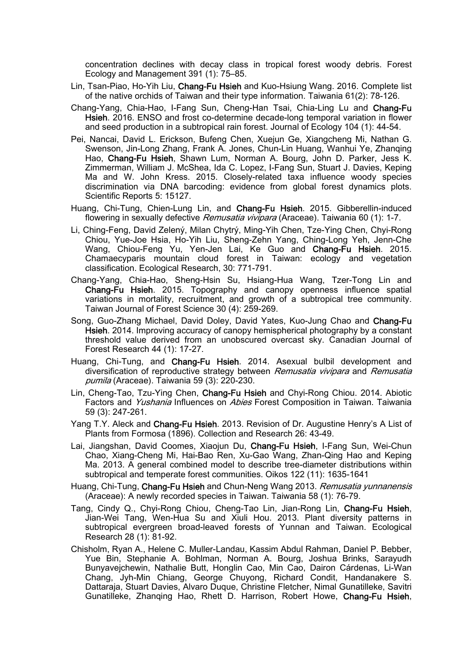concentration declines with decay class in tropical forest woody debris. Forest Ecology and Management 391 (1): 75–85.

- Lin, Tsan-Piao, Ho-Yih Liu, Chang-Fu Hsieh and Kuo-Hsiung Wang. 2016. Complete list of the native orchids of Taiwan and their type information. Taiwania 61(2): 78-126.
- Chang-Yang, Chia-Hao, I-Fang Sun, Cheng-Han Tsai, Chia-Ling Lu and Chang-Fu Hsieh. 2016. ENSO and frost co-determine decade-long temporal variation in flower and seed production in a subtropical rain forest. Journal of Ecology 104 (1): 44-54.
- Pei, Nancai, David L. Erickson, Bufeng Chen, Xuejun Ge, Xiangcheng Mi, Nathan G. Swenson, Jin-Long Zhang, Frank A. Jones, Chun-Lin Huang, Wanhui Ye, Zhanqing Hao, Chang-Fu Hsieh, Shawn Lum, Norman A. Bourg, John D. Parker, Jess K. Zimmerman, William J. McShea, Ida C. Lopez, I-Fang Sun, Stuart J. Davies, Keping Ma and W. John Kress. 2015. Closely-related taxa influence woody species discrimination via DNA barcoding: evidence from global forest dynamics plots. Scientific Reports 5: 15127.
- Huang, Chi-Tung, Chien-Lung Lin, and Chang-Fu Hsieh. 2015. Gibberellin-induced flowering in sexually defective *Remusatia vivipara* (Araceae). Taiwania 60 (1): 1-7.
- Li, Ching-Feng, David Zelený, Milan Chytrý, Ming-Yih Chen, Tze-Ying Chen, Chyi-Rong Chiou, Yue-Joe Hsia, Ho-Yih Liu, Sheng-Zehn Yang, Ching-Long Yeh, Jenn-Che Wang, Chiou-Feng Yu, Yen-Jen Lai, Ke Guo and Chang-Fu Hsieh. 2015. Chamaecyparis mountain cloud forest in Taiwan: ecology and vegetation classification. Ecological Research, 30: 771-791.
- Chang-Yang, Chia-Hao, Sheng-Hsin Su, Hsiang-Hua Wang, Tzer-Tong Lin and Chang-Fu Hsieh. 2015. Topography and canopy openness influence spatial variations in mortality, recruitment, and growth of a subtropical tree community. Taiwan Journal of Forest Science 30 (4): 259-269.
- Song, Guo-Zhang Michael, David Doley, David Yates, Kuo-Jung Chao and Chang-Fu Hsieh. 2014. Improving accuracy of canopy hemispherical photography by a constant threshold value derived from an unobscured overcast sky. Canadian Journal of Forest Research 44 (1): 17-27.
- Huang, Chi-Tung, and Chang-Fu Hsieh. 2014. Asexual bulbil development and diversification of reproductive strategy between Remusatia vivipara and Remusatia pumila (Araceae). Taiwania 59 (3): 220-230.
- Lin, Cheng-Tao, Tzu-Ying Chen, Chang-Fu Hsieh and Chyi-Rong Chiou. 2014. Abiotic Factors and Yushania Influences on Abies Forest Composition in Taiwan. Taiwania 59 (3): 247-261.
- Yang T.Y. Aleck and Chang-Fu Hsieh. 2013. Revision of Dr. Augustine Henry's A List of Plants from Formosa (1896). Collection and Research 26: 43-49.
- Lai, Jiangshan, David Coomes, Xiaojun Du, Chang-Fu Hsieh, I-Fang Sun, Wei-Chun Chao, Xiang-Cheng Mi, Hai-Bao Ren, Xu-Gao Wang, Zhan-Qing Hao and Keping Ma. 2013. A general combined model to describe tree-diameter distributions within subtropical and temperate forest communities. Oikos 122 (11): 1635-1641
- Huang, Chi-Tung, Chang-Fu Hsieh and Chun-Neng Wang 2013. Remusatia yunnanensis (Araceae): A newly recorded species in Taiwan. Taiwania 58 (1): 76-79.
- Tang, Cindy Q., Chyi-Rong Chiou, Cheng-Tao Lin, Jian-Rong Lin, Chang-Fu Hsieh, Jian-Wei Tang, Wen-Hua Su and Xiuli Hou. 2013. Plant diversity patterns in subtropical evergreen broad-leaved forests of Yunnan and Taiwan. Ecological Research 28 (1): 81-92.
- Chisholm, Ryan A., Helene C. Muller-Landau, Kassim Abdul Rahman, Daniel P. Bebber, Yue Bin, Stephanie A. Bohlman, Norman A. Bourg, Joshua Brinks, Sarayudh Bunyavejchewin, Nathalie Butt, Honglin Cao, Min Cao, Dairon Cárdenas, Li-Wan Chang, Jyh-Min Chiang, George Chuyong, Richard Condit, Handanakere S. Dattaraja, Stuart Davies, Alvaro Duque, Christine Fletcher, Nimal Gunatilleke, Savitri Gunatilleke, Zhanqing Hao, Rhett D. Harrison, Robert Howe, Chang-Fu Hsieh,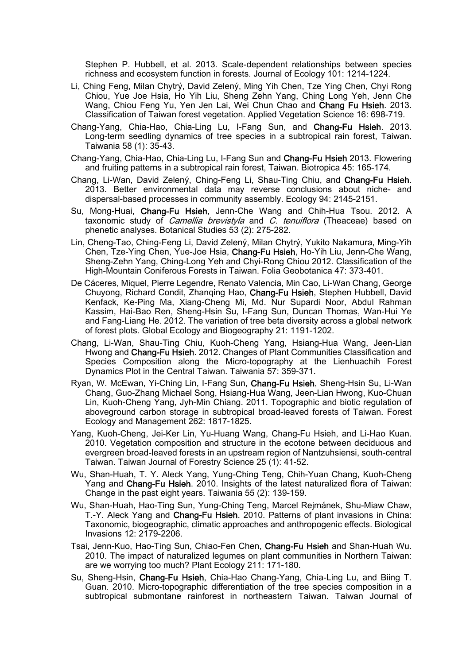Stephen P. Hubbell, et al. 2013. Scale-dependent relationships between species richness and ecosystem function in forests. Journal of Ecology 101: 1214-1224.

- Li, Ching Feng, Milan Chytrý, David Zelený, Ming Yih Chen, Tze Ying Chen, Chyi Rong Chiou, Yue Joe Hsia, Ho Yih Liu, Sheng Zehn Yang, Ching Long Yeh, Jenn Che Wang, Chiou Feng Yu, Yen Jen Lai, Wei Chun Chao and Chang Fu Hsieh. 2013. Classification of Taiwan forest vegetation. Applied Vegetation Science 16: 698-719.
- Chang-Yang, Chia-Hao, Chia-Ling Lu, I-Fang Sun, and Chang-Fu Hsieh. 2013. Long-term seedling dynamics of tree species in a subtropical rain forest, Taiwan. Taiwania 58 (1): 35-43.
- Chang-Yang, Chia-Hao, Chia-Ling Lu, I-Fang Sun and Chang-Fu Hsieh 2013. Flowering and fruiting patterns in a subtropical rain forest, Taiwan. Biotropica 45: 165-174.
- Chang, Li-Wan, David Zelený, Ching-Feng Li, Shau-Ting Chiu, and Chang-Fu Hsieh. 2013. Better environmental data may reverse conclusions about niche- and dispersal-based processes in community assembly. Ecology 94: 2145-2151.
- Su, Mong-Huai, Chang-Fu Hsieh, Jenn-Che Wang and Chih-Hua Tsou. 2012. A taxonomic study of *Camellia brevistyla* and C, *tenuiflora* (Theaceae) based on phenetic analyses. Botanical Studies 53 (2): 275-282.
- Lin, Cheng-Tao, Ching-Feng Li, David Zelený, Milan Chytrý, Yukito Nakamura, Ming-Yih Chen, Tze-Ying Chen, Yue-Joe Hsia, Chang-Fu Hsieh, Ho-Yih Liu, Jenn-Che Wang, Sheng-Zehn Yang, Ching-Long Yeh and Chyi-Rong Chiou 2012. Classification of the High-Mountain Coniferous Forests in Taiwan. Folia Geobotanica 47: 373-401.
- De Cáceres, Miquel, Pierre Legendre, Renato Valencia, Min Cao, Li‐Wan Chang, George Chuyong, Richard Condit, Zhanqing Hao, Chang-Fu Hsieh, Stephen Hubbell, David Kenfack, Ke-Ping Ma, Xiang-Cheng Mi, Md. Nur Supardi Noor, Abdul Rahman Kassim, Hai-Bao Ren, Sheng-Hsin Su, I-Fang Sun, Duncan Thomas, Wan-Hui Ye and Fang-Liang He. 2012. The variation of tree beta diversity across a global network of forest plots. Global Ecology and Biogeography 21: 1191-1202.
- Chang, Li-Wan, Shau-Ting Chiu, Kuoh-Cheng Yang, Hsiang-Hua Wang, Jeen-Lian Hwong and Chang-Fu Hsieh. 2012. Changes of Plant Communities Classification and Species Composition along the Micro-topography at the Lienhuachih Forest Dynamics Plot in the Central Taiwan. Taiwania 57: 359-371.
- Ryan, W. McEwan, Yi-Ching Lin, I-Fang Sun, Chang-Fu Hsieh, Sheng-Hsin Su, Li-Wan Chang, Guo-Zhang Michael Song, Hsiang-Hua Wang, Jeen-Lian Hwong, Kuo-Chuan Lin, Kuoh-Cheng Yang, Jyh-Min Chiang. 2011. Topographic and biotic regulation of aboveground carbon storage in subtropical broad-leaved forests of Taiwan. Forest Ecology and Management 262: 1817-1825.
- Yang, Kuoh-Cheng, Jei-Ker Lin, Yu-Huang Wang, Chang-Fu Hsieh, and Li-Hao Kuan. 2010. Vegetation composition and structure in the ecotone between deciduous and evergreen broad-leaved forests in an upstream region of Nantzuhsiensi, south-central Taiwan. Taiwan Journal of Forestry Science 25 (1): 41-52.
- Wu, Shan-Huah, T. Y. Aleck Yang, Yung-Ching Teng, Chih-Yuan Chang, Kuoh-Cheng Yang and Chang-Fu Hsieh. 2010. Insights of the latest naturalized flora of Taiwan: Change in the past eight years. Taiwania 55 (2): 139-159.
- Wu, Shan-Huah, Hao-Ting Sun, Yung-Ching Teng, Marcel Rejmánek, Shu-Miaw Chaw, T.-Y. Aleck Yang and Chang-Fu Hsieh. 2010. Patterns of plant invasions in China: Taxonomic, biogeographic, climatic approaches and anthropogenic effects. Biological Invasions 12: 2179-2206.
- Tsai, Jenn-Kuo, Hao-Ting Sun, Chiao-Fen Chen, Chang-Fu Hsieh and Shan-Huah Wu. 2010. The impact of naturalized legumes on plant communities in Northern Taiwan: are we worrying too much? Plant Ecology 211: 171-180.
- Su, Sheng-Hsin, Chang-Fu Hsieh, Chia-Hao Chang-Yang, Chia-Ling Lu, and Biing T. Guan. 2010. Micro-topographic differentiation of the tree species composition in a subtropical submontane rainforest in northeastern Taiwan. Taiwan Journal of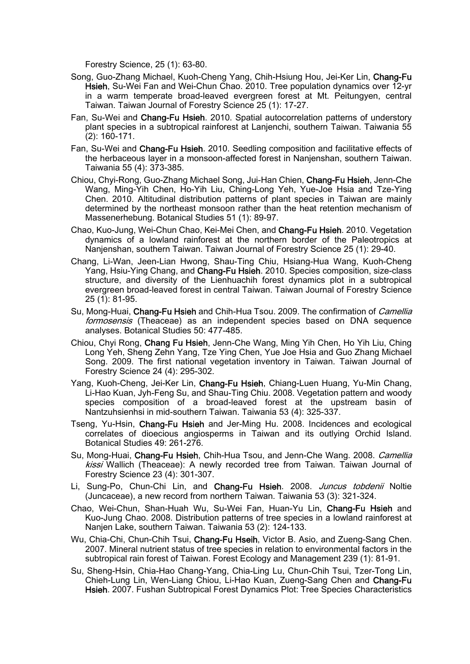Forestry Science, 25 (1): 63-80.

- Song, Guo-Zhang Michael, Kuoh-Cheng Yang, Chih-Hsiung Hou, Jei-Ker Lin, Chang-Fu Hsieh, Su-Wei Fan and Wei-Chun Chao. 2010. Tree population dynamics over 12-yr in a warm temperate broad-leaved evergreen forest at Mt. Peitungyen, central Taiwan. Taiwan Journal of Forestry Science 25 (1): 17-27.
- Fan, Su-Wei and Chang-Fu Hsieh. 2010. Spatial autocorrelation patterns of understory plant species in a subtropical rainforest at Lanjenchi, southern Taiwan. Taiwania 55 (2): 160-171.
- Fan, Su-Wei and Chang-Fu Hsieh. 2010. Seedling composition and facilitative effects of the herbaceous layer in a monsoon-affected forest in Nanjenshan, southern Taiwan. Taiwania 55 (4): 373-385.
- Chiou, Chyi-Rong, Guo-Zhang Michael Song, Jui-Han Chien, Chang-Fu Hsieh, Jenn-Che Wang, Ming-Yih Chen, Ho-Yih Liu, Ching-Long Yeh, Yue-Joe Hsia and Tze-Ying Chen. 2010. Altitudinal distribution patterns of plant species in Taiwan are mainly determined by the northeast monsoon rather than the heat retention mechanism of Massenerhebung. Botanical Studies 51 (1): 89-97.
- Chao, Kuo-Jung, Wei-Chun Chao, Kei-Mei Chen, and Chang-Fu Hsieh. 2010. Vegetation dynamics of a lowland rainforest at the northern border of the Paleotropics at Nanjenshan, southern Taiwan. Taiwan Journal of Forestry Science 25 (1): 29-40.
- Chang, Li-Wan, Jeen-Lian Hwong, Shau-Ting Chiu, Hsiang-Hua Wang, Kuoh-Cheng Yang, Hsiu-Ying Chang, and Chang-Fu Hsieh. 2010. Species composition, size-class structure, and diversity of the Lienhuachih forest dynamics plot in a subtropical evergreen broad-leaved forest in central Taiwan. Taiwan Journal of Forestry Science 25 (1): 81-95.
- Su, Mong-Huai, Chang-Fu Hsieh and Chih-Hua Tsou. 2009. The confirmation of *Camellia* formosensis (Theaceae) as an independent species based on DNA sequence analyses. Botanical Studies 50: 477-485.
- Chiou, Chyi Rong, Chang Fu Hsieh, Jenn-Che Wang, Ming Yih Chen, Ho Yih Liu, Ching Long Yeh, Sheng Zehn Yang, Tze Ying Chen, Yue Joe Hsia and Guo Zhang Michael Song. 2009. The first national vegetation inventory in Taiwan. Taiwan Journal of Forestry Science 24 (4): 295-302.
- Yang, Kuoh-Cheng, Jei-Ker Lin, Chang-Fu Hsieh, Chiang-Luen Huang, Yu-Min Chang, Li-Hao Kuan, Jyh-Feng Su, and Shau-Ting Chiu. 2008. Vegetation pattern and woody species composition of a broad-leaved forest at the upstream basin of Nantzuhsienhsi in mid-southern Taiwan. Taiwania 53 (4): 325-337.
- Tseng, Yu-Hsin, Chang-Fu Hsieh and Jer-Ming Hu. 2008. Incidences and ecological correlates of dioecious angiosperms in Taiwan and its outlying Orchid Island. Botanical Studies 49: 261-276.
- Su, Mong-Huai, Chang-Fu Hsieh, Chih-Hua Tsou, and Jenn-Che Wang. 2008. Camellia kissi Wallich (Theaceae): A newly recorded tree from Taiwan. Taiwan Journal of Forestry Science 23 (4): 301-307.
- Li, Sung-Po, Chun-Chi Lin, and Chang-Fu Hsieh. 2008. Juncus tobdenii Noltie (Juncaceae), a new record from northern Taiwan. Taiwania 53 (3): 321-324.
- Chao, Wei-Chun, Shan-Huah Wu, Su-Wei Fan, Huan-Yu Lin, Chang-Fu Hsieh and Kuo-Jung Chao. 2008. Distribution patterns of tree species in a lowland rainforest at Nanjen Lake, southern Taiwan. Taiwania 53 (2): 124-133.
- Wu, Chia-Chi, Chun-Chih Tsui, Chang-Fu Hseih, Victor B. Asio, and Zueng-Sang Chen. 2007. Mineral nutrient status of tree species in relation to environmental factors in the subtropical rain forest of Taiwan. Forest Ecology and Management 239 (1): 81-91.
- Su, Sheng-Hsin, Chia-Hao Chang-Yang, Chia-Ling Lu, Chun-Chih Tsui, Tzer-Tong Lin, Chieh-Lung Lin, Wen-Liang Chiou, Li-Hao Kuan, Zueng-Sang Chen and Chang-Fu Hsieh. 2007. Fushan Subtropical Forest Dynamics Plot: Tree Species Characteristics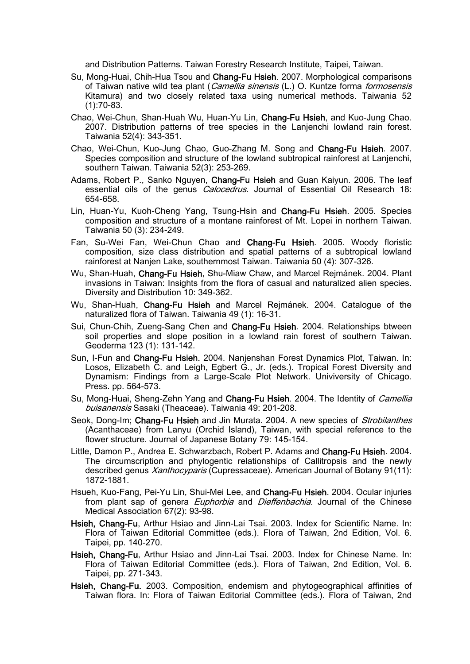and Distribution Patterns. Taiwan Forestry Research Institute, Taipei, Taiwan.

- Su, Mong-Huai, Chih-Hua Tsou and Chang-Fu Hsieh. 2007. Morphological comparisons of Taiwan native wild tea plant (Camellia sinensis (L.) O. Kuntze forma formosensis Kitamura) and two closely related taxa using numerical methods. Taiwania 52 (1):70-83.
- Chao, Wei-Chun, Shan-Huah Wu, Huan-Yu Lin, Chang-Fu Hsieh, and Kuo-Jung Chao. 2007. Distribution patterns of tree species in the Lanjenchi lowland rain forest. Taiwania 52(4): 343-351.
- Chao, Wei-Chun, Kuo-Jung Chao, Guo-Zhang M. Song and Chang-Fu Hsieh. 2007. Species composition and structure of the lowland subtropical rainforest at Lanjenchi, southern Taiwan. Taiwania 52(3): 253-269.
- Adams, Robert P., Sanko Nguyen, Chang-Fu Hsieh and Guan Kaiyun. 2006. The leaf essential oils of the genus *Calocedrus*. Journal of Essential Oil Research 18: 654-658.
- Lin, Huan-Yu, Kuoh-Cheng Yang, Tsung-Hsin and Chang-Fu Hsieh. 2005. Species composition and structure of a montane rainforest of Mt. Lopei in northern Taiwan. Taiwania 50 (3): 234-249.
- Fan, Su-Wei Fan, Wei-Chun Chao and Chang-Fu Hsieh. 2005. Woody floristic composition, size class distribution and spatial patterns of a subtropical lowland rainforest at Nanjen Lake, southernmost Taiwan. Taiwania 50 (4): 307-326.
- Wu, Shan‐Huah, Chang‐Fu Hsieh, Shu‐Miaw Chaw, and Marcel Rejmánek. 2004. Plant invasions in Taiwan: Insights from the flora of casual and naturalized alien species. Diversity and Distribution 10: 349-362.
- Wu, Shan‐Huah, Chang‐Fu Hsieh and Marcel Rejmánek. 2004. Catalogue of the naturalized flora of Taiwan. Taiwania 49 (1): 16-31.
- Sui, Chun-Chih, Zueng-Sang Chen and Chang-Fu Hsieh. 2004. Relationships btween soil properties and slope position in a lowland rain forest of southern Taiwan. Geoderma 123 (1): 131-142.
- Sun, I-Fun and Chang-Fu Hsieh. 2004. Nanjenshan Forest Dynamics Plot, Taiwan. In: Losos, Elizabeth C. and Leigh, Egbert G., Jr. (eds.). Tropical Forest Diversity and Dynamism: Findings from a Large-Scale Plot Network. Univiversity of Chicago. Press. pp. 564-573.
- Su, Mong-Huai, Sheng-Zehn Yang and Chang-Fu Hsieh. 2004. The Identity of *Camellia* buisanensis Sasaki (Theaceae). Taiwania 49: 201-208.
- Seok, Dong-Im; Chang-Fu Hsieh and Jin Murata. 2004. A new species of Strobilanthes (Acanthaceae) from Lanyu (Orchid Island), Taiwan, with special reference to the flower structure. Journal of Japanese Botany 79: 145-154.
- Little, Damon P., Andrea E. Schwarzbach, Robert P. Adams and Chang-Fu Hsieh. 2004. The circumscription and phylogentic relationships of Callitropsis and the newly described genus *Xanthocyparis* (Cupressaceae). American Journal of Botany 91(11): 1872-1881.
- Hsueh, Kuo-Fang, Pei-Yu Lin, Shui-Mei Lee, and Chang-Fu Hsieh. 2004. Ocular injuries from plant sap of genera *Euphorbia* and *Dieffenbachia*. Journal of the Chinese Medical Association 67(2): 93-98.
- Hsieh, Chang-Fu, Arthur Hsiao and Jinn-Lai Tsai. 2003. Index for Scientific Name. In: Flora of Taiwan Editorial Committee (eds.). Flora of Taiwan, 2nd Edition, Vol. 6. Taipei, pp. 140-270.
- Hsieh, Chang-Fu, Arthur Hsiao and Jinn-Lai Tsai. 2003. Index for Chinese Name. In: Flora of Taiwan Editorial Committee (eds.). Flora of Taiwan, 2nd Edition, Vol. 6. Taipei, pp. 271-343.
- Hsieh, Chang-Fu. 2003. Composition, endemism and phytogeographical affinities of Taiwan flora. In: Flora of Taiwan Editorial Committee (eds.). Flora of Taiwan, 2nd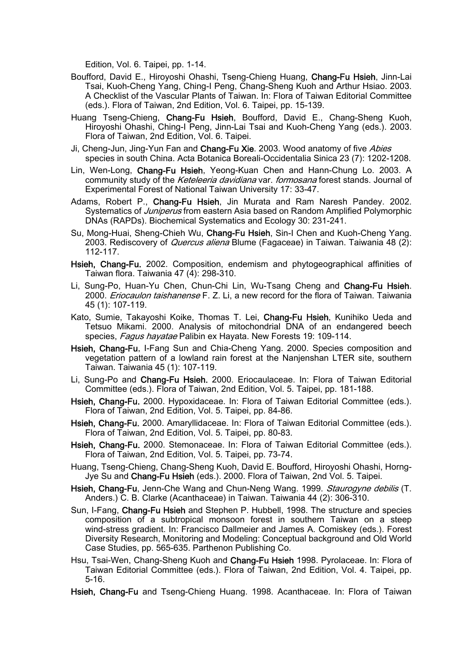Edition, Vol. 6. Taipei, pp. 1-14.

- Boufford, David E., Hiroyoshi Ohashi, Tseng-Chieng Huang, Chang-Fu Hsieh, Jinn-Lai Tsai, Kuoh-Cheng Yang, Ching-I Peng, Chang-Sheng Kuoh and Arthur Hsiao. 2003. A Checklist of the Vascular Plants of Taiwan. In: Flora of Taiwan Editorial Committee (eds.). Flora of Taiwan, 2nd Edition, Vol. 6. Taipei, pp. 15-139.
- Huang Tseng-Chieng, Chang-Fu Hsieh, Boufford, David E., Chang-Sheng Kuoh, Hiroyoshi Ohashi, Ching-I Peng, Jinn-Lai Tsai and Kuoh-Cheng Yang (eds.). 2003. Flora of Taiwan, 2nd Edition, Vol. 6. Taipei.
- Ji, Cheng-Jun, Jing-Yun Fan and Chang-Fu Xie. 2003. Wood anatomy of five Abies species in south China. Acta Botanica Boreali-Occidentalia Sinica 23 (7): 1202-1208.
- Lin, Wen-Long, Chang-Fu Hsieh, Yeong-Kuan Chen and Hann-Chung Lo. 2003. A community study of the *Keteleeria davidiana* var. *formosana* forest stands. Journal of Experimental Forest of National Taiwan University 17: 33-47.
- Adams, Robert P., Chang-Fu Hsieh, Jin Murata and Ram Naresh Pandey. 2002. Systematics of *Juniperus* from eastern Asia based on Random Amplified Polymorphic DNAs (RAPDs). Biochemical Systematics and Ecology 30: 231-241.
- Su, Mong-Huai, Sheng-Chieh Wu, Chang-Fu Hsieh, Sin-I Chen and Kuoh-Cheng Yang. 2003. Rediscovery of *Quercus aliena* Blume (Fagaceae) in Taiwan. Taiwania 48 (2): 112-117.
- Hsieh, Chang-Fu. 2002. Composition, endemism and phytogeographical affinities of Taiwan flora. Taiwania 47 (4): 298-310.
- Li, Sung-Po, Huan-Yu Chen, Chun-Chi Lin, Wu-Tsang Cheng and Chang-Fu Hsieh. 2000. *Eriocaulon taishanense* F. Z. Li, a new record for the flora of Taiwan. Taiwania 45 (1): 107-119.
- Kato, Sumie, Takayoshi Koike, Thomas T. Lei, Chang-Fu Hsieh, Kunihiko Ueda and Tetsuo Mikami. 2000. Analysis of mitochondrial DNA of an endangered beech species, Fagus hayatae Palibin ex Hayata. New Forests 19: 109-114.
- Hsieh, Chang-Fu, I-Fang Sun and Chia-Cheng Yang. 2000. Species composition and vegetation pattern of a lowland rain forest at the Nanjenshan LTER site, southern Taiwan. Taiwania 45 (1): 107-119.
- Li, Sung-Po and Chang-Fu Hsieh. 2000. Eriocaulaceae. In: Flora of Taiwan Editorial Committee (eds.). Flora of Taiwan, 2nd Edition, Vol. 5. Taipei, pp. 181-188.
- Hsieh, Chang-Fu. 2000. Hypoxidaceae. In: Flora of Taiwan Editorial Committee (eds.). Flora of Taiwan, 2nd Edition, Vol. 5. Taipei, pp. 84-86.
- Hsieh, Chang-Fu. 2000. Amaryllidaceae. In: Flora of Taiwan Editorial Committee (eds.). Flora of Taiwan, 2nd Edition, Vol. 5. Taipei, pp. 80-83.
- Hsieh, Chang-Fu. 2000. Stemonaceae. In: Flora of Taiwan Editorial Committee (eds.). Flora of Taiwan, 2nd Edition, Vol. 5. Taipei, pp. 73-74.
- Huang, Tseng-Chieng, Chang-Sheng Kuoh, David E. Boufford, Hiroyoshi Ohashi, Horng-Jye Su and Chang-Fu Hsieh (eds.). 2000. Flora of Taiwan, 2nd Vol. 5. Taipei.
- Hsieh, Chang-Fu, Jenn-Che Wang and Chun-Neng Wang. 1999. Staurogyne debilis (T. Anders.) C. B. Clarke (Acanthaceae) in Taiwan. Taiwania 44 (2): 306-310.
- Sun, I-Fang, Chang-Fu Hsieh and Stephen P. Hubbell, 1998. The structure and species composition of a subtropical monsoon forest in southern Taiwan on a steep wind-stress gradient. In: Francisco Dallmeier and James A. Comiskey (eds.). Forest Diversity Research, Monitoring and Modeling: Conceptual background and Old World Case Studies, pp. 565-635. Parthenon Publishing Co.
- Hsu, Tsai-Wen, Chang-Sheng Kuoh and Chang-Fu Hsieh 1998. Pyrolaceae. In: Flora of Taiwan Editorial Committee (eds.). Flora of Taiwan, 2nd Edition, Vol. 4. Taipei, pp. 5-16.
- Hsieh, Chang-Fu and Tseng-Chieng Huang. 1998. Acanthaceae. In: Flora of Taiwan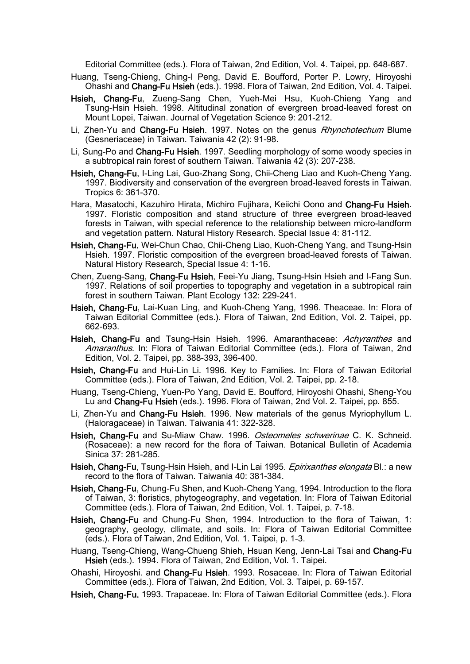Editorial Committee (eds.). Flora of Taiwan, 2nd Edition, Vol. 4. Taipei, pp. 648-687.

- Huang, Tseng-Chieng, Ching-I Peng, David E. Boufford, Porter P. Lowry, Hiroyoshi Ohashi and Chang-Fu Hsieh (eds.). 1998. Flora of Taiwan, 2nd Edition, Vol. 4. Taipei.
- Hsieh, Chang-Fu, Zueng-Sang Chen, Yueh-Mei Hsu, Kuoh-Chieng Yang and Tsung-Hsin Hsieh. 1998. Altitudinal zonation of evergreen broad-leaved forest on Mount Lopei, Taiwan. Journal of Vegetation Science 9: 201-212.
- Li, Zhen-Yu and Chang-Fu Hsieh. 1997. Notes on the genus Rhynchotechum Blume (Gesneriaceae) in Taiwan. Taiwania 42 (2): 91-98.
- Li, Sung-Po and Chang-Fu Hsieh. 1997. Seedling morphology of some woody species in a subtropical rain forest of southern Taiwan. Taiwania 42 (3): 207-238.
- Hsieh, Chang-Fu, I-Ling Lai, Guo-Zhang Song, Chii-Cheng Liao and Kuoh-Cheng Yang. 1997. Biodiversity and conservation of the evergreen broad-leaved forests in Taiwan. Tropics 6: 361-370.
- Hara, Masatochi, Kazuhiro Hirata, Michiro Fujihara, Keiichi Oono and Chang-Fu Hsieh. 1997. Floristic composition and stand structure of three evergreen broad-leaved forests in Taiwan, with special reference to the relationship between micro-landform and vegetation pattern. Natural History Research. Special Issue 4: 81-112.
- Hsieh, Chang-Fu, Wei-Chun Chao, Chii-Cheng Liao, Kuoh-Cheng Yang, and Tsung-Hsin Hsieh. 1997. Floristic composition of the evergreen broad-leaved forests of Taiwan. Natural History Research, Special Issue 4: 1-16.
- Chen, Zueng-Sang, Chang-Fu Hsieh, Feei-Yu Jiang, Tsung-Hsin Hsieh and I-Fang Sun. 1997. Relations of soil properties to topography and vegetation in a subtropical rain forest in southern Taiwan. Plant Ecology 132: 229-241.
- Hsieh, Chang-Fu, Lai-Kuan Ling, and Kuoh-Cheng Yang, 1996. Theaceae. In: Flora of Taiwan Editorial Committee (eds.). Flora of Taiwan, 2nd Edition, Vol. 2. Taipei, pp. 662-693.
- Hsieh, Chang-Fu and Tsung-Hsin Hsieh. 1996. Amaranthaceae: Achyranthes and Amaranthus. In: Flora of Taiwan Editorial Committee (eds.). Flora of Taiwan, 2nd Edition, Vol. 2. Taipei, pp. 388-393, 396-400.
- Hsieh, Chang-Fu and Hui-Lin Li. 1996. Key to Families. In: Flora of Taiwan Editorial Committee (eds.). Flora of Taiwan, 2nd Edition, Vol. 2. Taipei, pp. 2-18.
- Huang, Tseng-Chieng, Yuen-Po Yang, David E. Boufford, Hiroyoshi Ohashi, Sheng-You Lu and Chang-Fu Hsieh (eds.). 1996. Flora of Taiwan, 2nd Vol. 2. Taipei, pp. 855.
- Li, Zhen-Yu and Chang-Fu Hsieh. 1996. New materials of the genus Myriophyllum L. (Haloragaceae) in Taiwan. Taiwania 41: 322-328.
- Hsieh, Chang-Fu and Su-Miaw Chaw. 1996. Osteomeles schwerinae C. K. Schneid. (Rosaceae): a new record for the flora of Taiwan. Botanical Bulletin of Academia Sinica 37: 281-285.
- Hsieh, Chang-Fu, Tsung-Hsin Hsieh, and I-Lin Lai 1995. *Epirixanthes elongata* Bl.: a new record to the flora of Taiwan. Taiwania 40: 381-384.
- Hsieh, Chang-Fu, Chung-Fu Shen, and Kuoh-Cheng Yang, 1994. Introduction to the flora of Taiwan, 3: floristics, phytogeography, and vegetation. In: Flora of Taiwan Editorial Committee (eds.). Flora of Taiwan, 2nd Edition, Vol. 1. Taipei, p. 7-18.
- Hsieh, Chang-Fu and Chung-Fu Shen, 1994. Introduction to the flora of Taiwan, 1: geography, geology, cllimate, and soils. In: Flora of Taiwan Editorial Committee (eds.). Flora of Taiwan, 2nd Edition, Vol. 1. Taipei, p. 1-3.
- Huang, Tseng-Chieng, Wang-Chueng Shieh, Hsuan Keng, Jenn-Lai Tsai and Chang-Fu Hsieh (eds.). 1994. Flora of Taiwan, 2nd Edition, Vol. 1. Taipei.
- Ohashi, Hiroyoshi. and Chang-Fu Hsieh. 1993. Rosaceae. In: Flora of Taiwan Editorial Committee (eds.). Flora of Taiwan, 2nd Edition, Vol. 3. Taipei, p. 69-157.
- Hsieh, Chang-Fu. 1993. Trapaceae. In: Flora of Taiwan Editorial Committee (eds.). Flora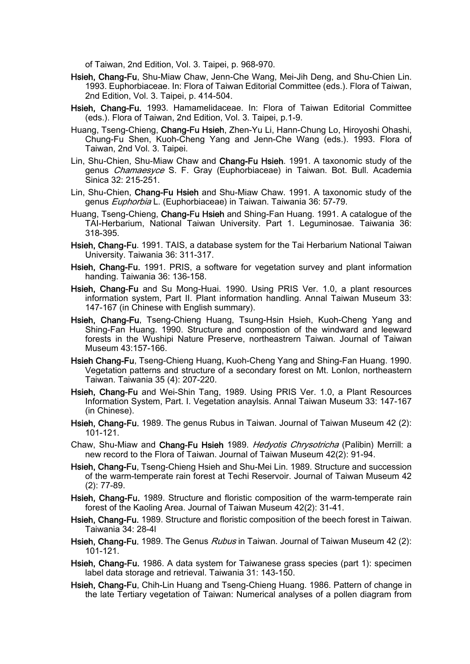of Taiwan, 2nd Edition, Vol. 3. Taipei, p. 968-970.

- Hsieh, Chang-Fu, Shu-Miaw Chaw, Jenn-Che Wang, Mei-Jih Deng, and Shu-Chien Lin. 1993. Euphorbiaceae. In: Flora of Taiwan Editorial Committee (eds.). Flora of Taiwan, 2nd Edition, Vol. 3. Taipei, p. 414-504.
- Hsieh, Chang-Fu. 1993. Hamamelidaceae. In: Flora of Taiwan Editorial Committee (eds.). Flora of Taiwan, 2nd Edition, Vol. 3. Taipei, p.1-9.
- Huang, Tseng-Chieng, Chang-Fu Hsieh, Zhen-Yu Li, Hann-Chung Lo, Hiroyoshi Ohashi, Chung-Fu Shen, Kuoh-Cheng Yang and Jenn-Che Wang (eds.). 1993. Flora of Taiwan, 2nd Vol. 3. Taipei.
- Lin, Shu-Chien, Shu-Miaw Chaw and Chang-Fu Hsieh. 1991. A taxonomic study of the genus *Chamaesyce* S. F. Gray (Euphorbiaceae) in Taiwan. Bot. Bull. Academia Sinica 32: 215-251.
- Lin, Shu-Chien, Chang-Fu Hsieh and Shu-Miaw Chaw. 1991. A taxonomic study of the genus Euphorbia L. (Euphorbiaceae) in Taiwan. Taiwania 36: 57-79.
- Huang, Tseng-Chieng, Chang-Fu Hsieh and Shing-Fan Huang. 1991. A catalogue of the TAI-Herbarium, National Taiwan University. Part 1. Leguminosae. Taiwania 36: 318-395.
- Hsieh, Chang-Fu. 1991. TAIS, a database system for the Tai Herbarium National Taiwan University. Taiwania 36: 311-317.
- Hsieh, Chang-Fu. 1991. PRIS, a software for vegetation survey and plant information handing. Taiwania 36: 136-158.
- Hsieh, Chang-Fu and Su Mong-Huai. 1990. Using PRIS Ver. 1.0, a plant resources information system, Part II. Plant information handling. Annal Taiwan Museum 33: 147-167 (in Chinese with English summary).
- Hsieh, Chang-Fu, Tseng-Chieng Huang, Tsung-Hsin Hsieh, Kuoh-Cheng Yang and Shing-Fan Huang. 1990. Structure and compostion of the windward and leeward forests in the Wushipi Nature Preserve, northeastrern Taiwan. Journal of Taiwan Museum 43:157-166.
- Hsieh Chang-Fu, Tseng-Chieng Huang, Kuoh-Cheng Yang and Shing-Fan Huang. 1990. Vegetation patterns and structure of a secondary forest on Mt. Lonlon, northeastern Taiwan. Taiwania 35 (4): 207-220.
- Hsieh, Chang-Fu and Wei-Shin Tang, 1989. Using PRIS Ver. 1.0, a Plant Resources Information System, Part. I. Vegetation anaylsis. Annal Taiwan Museum 33: 147-167 (in Chinese).
- Hsieh, Chang-Fu. 1989. The genus Rubus in Taiwan. Journal of Taiwan Museum 42 (2): 101-121.
- Chaw, Shu-Miaw and Chang-Fu Hsieh 1989. Hedyotis Chrysotricha (Palibin) Merrill: a new record to the Flora of Taiwan. Journal of Taiwan Museum 42(2): 91-94.
- Hsieh, Chang-Fu, Tseng-Chieng Hsieh and Shu-Mei Lin. 1989. Structure and succession of the warm-temperate rain forest at Techi Reservoir. Journal of Taiwan Museum 42 (2): 77-89.
- Hsieh, Chang-Fu. 1989. Structure and floristic composition of the warm-temperate rain forest of the Kaoling Area. Journal of Taiwan Museum 42(2): 31-41.
- Hsieh, Chang-Fu. 1989. Structure and floristic composition of the beech forest in Taiwan. Taiwania 34: 28-4l
- Hsieh, Chang-Fu. 1989. The Genus Rubus in Taiwan. Journal of Taiwan Museum 42 (2): 101-121.
- Hsieh, Chang-Fu. 1986. A data system for Taiwanese grass species (part 1): specimen label data storage and retrieval. Taiwania 31: 143-150.
- Hsieh, Chang-Fu, Chih-Lin Huang and Tseng-Chieng Huang. 1986. Pattern of change in the late Tertiary vegetation of Taiwan: Numerical analyses of a pollen diagram from